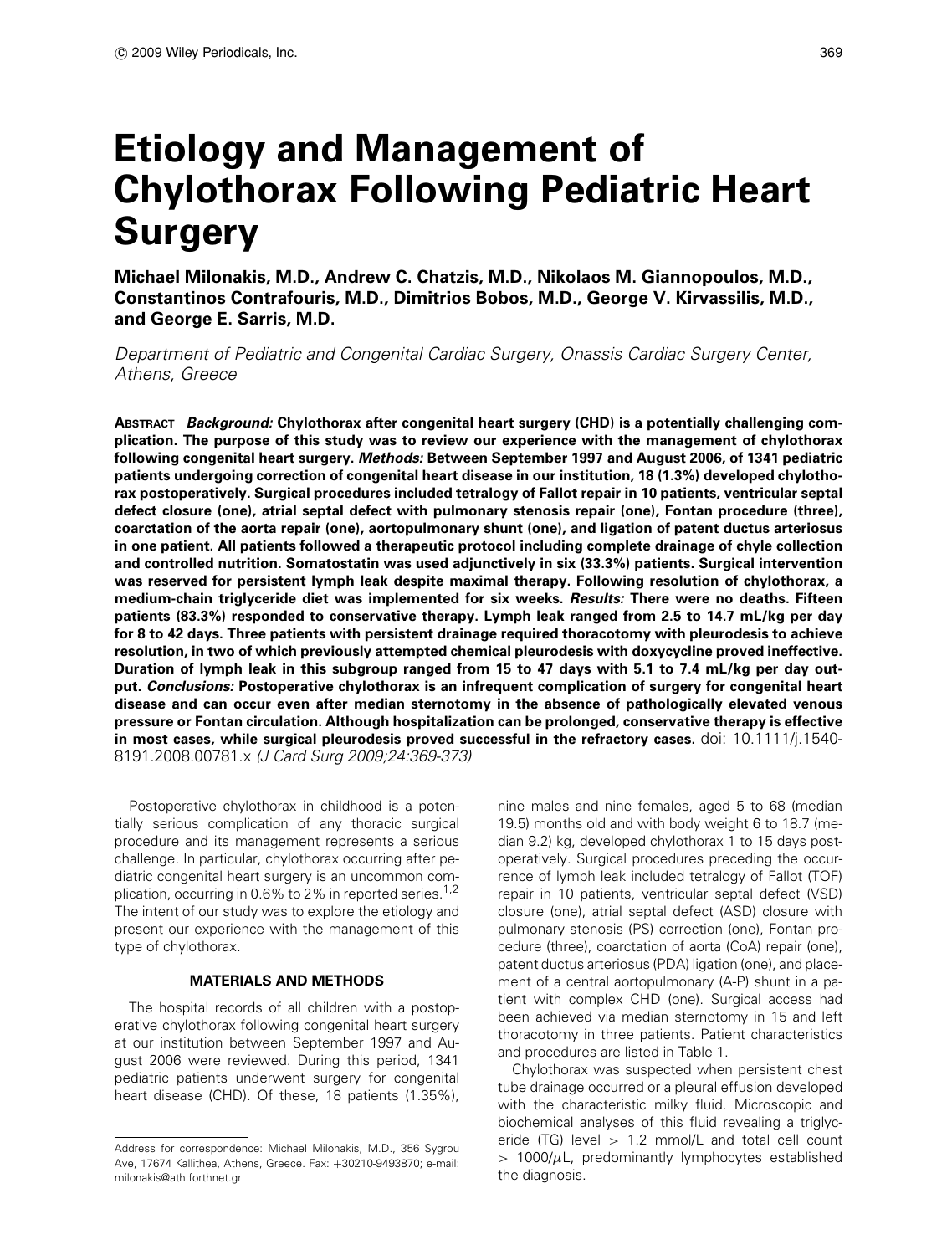# **Etiology and Management of Chylothorax Following Pediatric Heart Surgery**

**Michael Milonakis, M.D., Andrew C. Chatzis, M.D., Nikolaos M. Giannopoulos, M.D., Constantinos Contrafouris, M.D., Dimitrios Bobos, M.D., George V. Kirvassilis, M.D., and George E. Sarris, M.D.**

Department of Pediatric and Congenital Cardiac Surgery, Onassis Cardiac Surgery Center, *Athens, Greece*

**ABSTRACT Background: Chylothorax after congenital heart surgery (CHD) is a potentially challenging complication. The purpose of this study was to review our experience with the management of chylothorax following congenital heart surgery. Methods: Between September 1997 and August 2006, of 1341 pediatric patients undergoing correction of congenital heart disease in our institution, 18 (1.3%) developed chylothorax postoperatively. Surgical procedures included tetralogy of Fallot repair in 10 patients, ventricular septal defect closure (one), atrial septal defect with pulmonary stenosis repair (one), Fontan procedure (three), coarctation of the aorta repair (one), aortopulmonary shunt (one), and ligation of patent ductus arteriosus in one patient. All patients followed a therapeutic protocol including complete drainage of chyle collection and controlled nutrition. Somatostatin was used adjunctively in six (33.3%) patients. Surgical intervention was reserved for persistent lymph leak despite maximal therapy. Following resolution of chylothorax, a medium-chain triglyceride diet was implemented for six weeks. Results: There were no deaths. Fifteen patients (83.3%) responded to conservative therapy. Lymph leak ranged from 2.5 to 14.7 mL/kg per day for 8 to 42 days. Three patients with persistent drainage required thoracotomy with pleurodesis to achieve resolution, in two of which previously attempted chemical pleurodesis with doxycycline proved ineffective. Duration of lymph leak in this subgroup ranged from 15 to 47 days with 5.1 to 7.4 mL/kg per day output. Conclusions: Postoperative chylothorax is an infrequent complication of surgery for congenital heart disease and can occur even after median sternotomy in the absence of pathologically elevated venous pressure or Fontan circulation. Although hospitalization can be prolonged, conservative therapy is effective in most cases, while surgical pleurodesis proved successful in the refractory cases.** *doi: 10.1111/j.1540- 8191.2008.00781.x (J Card Surg 2009;24:369-373)*

*Postoperative chylothorax in childhood is a potentially serious complication of any thoracic surgical procedure and its management represents a serious challenge. In particular, chylothorax occurring after pediatric congenital heart surgery is an uncommon complication, occurring in 0.6% to 2% in reported series.1,2 The intent of our study was to explore the etiology and present our experience with the management of this type of chylothorax.*

## **MATERIALS AND METHODS**

*The hospital records of all children with a postoperative chylothorax following congenital heart surgery at our institution between September 1997 and August 2006 were reviewed. During this period, 1341 pediatric patients underwent surgery for congenital heart disease (CHD). Of these, 18 patients (1.35%),* *nine males and nine females, aged 5 to 68 (median 19.5) months old and with body weight 6 to 18.7 (median 9.2) kg, developed chylothorax 1 to 15 days postoperatively. Surgical procedures preceding the occurrence of lymph leak included tetralogy of Fallot (TOF) repair in 10 patients, ventricular septal defect (VSD) closure (one), atrial septal defect (ASD) closure with pulmonary stenosis (PS) correction (one), Fontan procedure (three), coarctation of aorta (CoA) repair (one), patent ductus arteriosus (PDA) ligation (one), and placement of a central aortopulmonary (A-P) shunt in a patient with complex CHD (one). Surgical access had been achieved via median sternotomy in 15 and left thoracotomy in three patients. Patient characteristics and procedures are listed in Table 1.*

*Chylothorax was suspected when persistent chest tube drainage occurred or a pleural effusion developed with the characteristic milky fluid. Microscopic and biochemical analyses of this fluid revealing a triglyceride (TG) level* > *1.2 mmol/L and total cell count* > *1000/*μ*L, predominantly lymphocytes established the diagnosis.*

*Address for correspondence: Michael Milonakis, M.D., 356 Sygrou Ave, 17674 Kallithea, Athens, Greece. Fax:* +*30210-9493870; e-mail: milonakis@ath.forthnet.gr*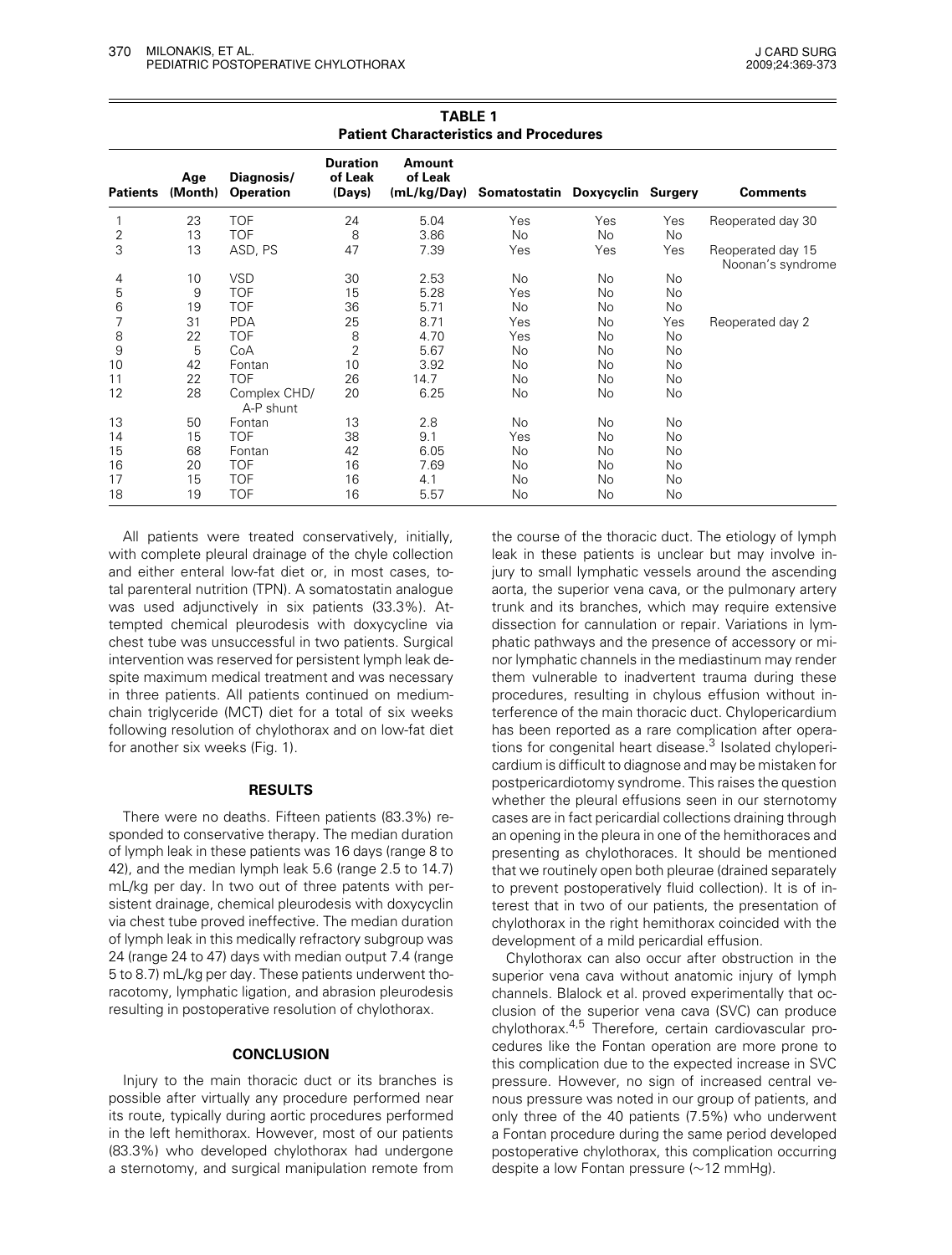| <b>Patient Characteristics and Procedures</b> |                |                                |                                      |                                  |                                 |           |           |                                        |
|-----------------------------------------------|----------------|--------------------------------|--------------------------------------|----------------------------------|---------------------------------|-----------|-----------|----------------------------------------|
| <b>Patients</b>                               | Age<br>(Month) | Diagnosis/<br><b>Operation</b> | <b>Duration</b><br>of Leak<br>(Days) | Amount<br>of Leak<br>(mL/kg/Day) | Somatostatin Doxycyclin Surgery |           |           | <b>Comments</b>                        |
|                                               | 23             | <b>TOF</b>                     | 24                                   | 5.04                             | Yes                             | Yes       | Yes       | Reoperated day 30                      |
| $\overline{2}$                                | 13             | <b>TOF</b>                     | 8                                    | 3.86                             | <b>No</b>                       | <b>No</b> | <b>No</b> |                                        |
| 3                                             | 13             | ASD, PS                        | 47                                   | 7.39                             | Yes                             | Yes       | Yes       | Reoperated day 15<br>Noonan's syndrome |
| 4                                             | 10             | <b>VSD</b>                     | 30                                   | 2.53                             | No.                             | <b>No</b> | <b>No</b> |                                        |
| 5                                             | 9              | <b>TOF</b>                     | 15                                   | 5.28                             | Yes                             | <b>No</b> | No        |                                        |
| 6                                             | 19             | <b>TOF</b>                     | 36                                   | 5.71                             | <b>No</b>                       | <b>No</b> | No        |                                        |
| 7                                             | 31             | <b>PDA</b>                     | 25                                   | 8.71                             | Yes                             | No        | Yes       | Reoperated day 2                       |
| 8                                             | 22             | <b>TOF</b>                     | 8                                    | 4.70                             | Yes                             | No        | No        |                                        |
| 9                                             | 5              | CoA                            | 2                                    | 5.67                             | No.                             | No        | No        |                                        |
| 10                                            | 42             | Fontan                         | 10                                   | 3.92                             | No                              | No        | No        |                                        |
| 11                                            | 22             | <b>TOF</b>                     | 26                                   | 14.7                             | <b>No</b>                       | <b>No</b> | <b>No</b> |                                        |
| 12                                            | 28             | Complex CHD/<br>A-P shunt      | 20                                   | 6.25                             | No                              | No        | No        |                                        |
| 13                                            | 50             | Fontan                         | 13                                   | 2.8                              | No.                             | <b>No</b> | No        |                                        |
| 14                                            | 15             | <b>TOF</b>                     | 38                                   | 9.1                              | Yes                             | No        | No        |                                        |
| 15                                            | 68             | Fontan                         | 42                                   | 6.05                             | No                              | No        | No        |                                        |
| 16                                            | 20             | <b>TOF</b>                     | 16                                   | 7.69                             | <b>No</b>                       | <b>No</b> | <b>No</b> |                                        |
| 17                                            | 15             | <b>TOF</b>                     | 16                                   | 4.1                              | No                              | <b>No</b> | No        |                                        |
| 18                                            | 19             | <b>TOF</b>                     | 16                                   | 5.57                             | No                              | No        | No        |                                        |

**TABLE 1**

*All patients were treated conservatively, initially, with complete pleural drainage of the chyle collection and either enteral low-fat diet or, in most cases, total parenteral nutrition (TPN). A somatostatin analogue was used adjunctively in six patients (33.3%). Attempted chemical pleurodesis with doxycycline via chest tube was unsuccessful in two patients. Surgical intervention was reserved for persistent lymph leak despite maximum medical treatment and was necessary in three patients. All patients continued on mediumchain triglyceride (MCT) diet for a total of six weeks following resolution of chylothorax and on low-fat diet for another six weeks (Fig. 1).*

### **RESULTS**

*There were no deaths. Fifteen patients (83.3%) responded to conservative therapy. The median duration of lymph leak in these patients was 16 days (range 8 to 42), and the median lymph leak 5.6 (range 2.5 to 14.7) mL/kg per day. In two out of three patents with persistent drainage, chemical pleurodesis with doxycyclin via chest tube proved ineffective. The median duration of lymph leak in this medically refractory subgroup was 24 (range 24 to 47) days with median output 7.4 (range 5 to 8.7) mL/kg per day. These patients underwent thoracotomy, lymphatic ligation, and abrasion pleurodesis resulting in postoperative resolution of chylothorax.*

## **CONCLUSION**

*Injury to the main thoracic duct or its branches is possible after virtually any procedure performed near its route, typically during aortic procedures performed in the left hemithorax. However, most of our patients (83.3%) who developed chylothorax had undergone a sternotomy, and surgical manipulation remote from* *the course of the thoracic duct. The etiology of lymph leak in these patients is unclear but may involve injury to small lymphatic vessels around the ascending aorta, the superior vena cava, or the pulmonary artery trunk and its branches, which may require extensive dissection for cannulation or repair. Variations in lymphatic pathways and the presence of accessory or minor lymphatic channels in the mediastinum may render them vulnerable to inadvertent trauma during these procedures, resulting in chylous effusion without interference of the main thoracic duct. Chylopericardium has been reported as a rare complication after operations for congenital heart disease.<sup>3</sup> Isolated chylopericardium is difficult to diagnose and may be mistaken for postpericardiotomy syndrome. This raises the question whether the pleural effusions seen in our sternotomy cases are in fact pericardial collections draining through an opening in the pleura in one of the hemithoraces and presenting as chylothoraces. It should be mentioned that we routinely open both pleurae (drained separately to prevent postoperatively fluid collection). It is of interest that in two of our patients, the presentation of chylothorax in the right hemithorax coincided with the development of a mild pericardial effusion.*

*Chylothorax can also occur after obstruction in the superior vena cava without anatomic injury of lymph channels. Blalock et al. proved experimentally that occlusion of the superior vena cava (SVC) can produce chylothorax.4,5 Therefore, certain cardiovascular procedures like the Fontan operation are more prone to this complication due to the expected increase in SVC pressure. However, no sign of increased central venous pressure was noted in our group of patients, and only three of the 40 patients (7.5%) who underwent a Fontan procedure during the same period developed postoperative chylothorax, this complication occurring despite a low Fontan pressure (*∼*12 mmHg).*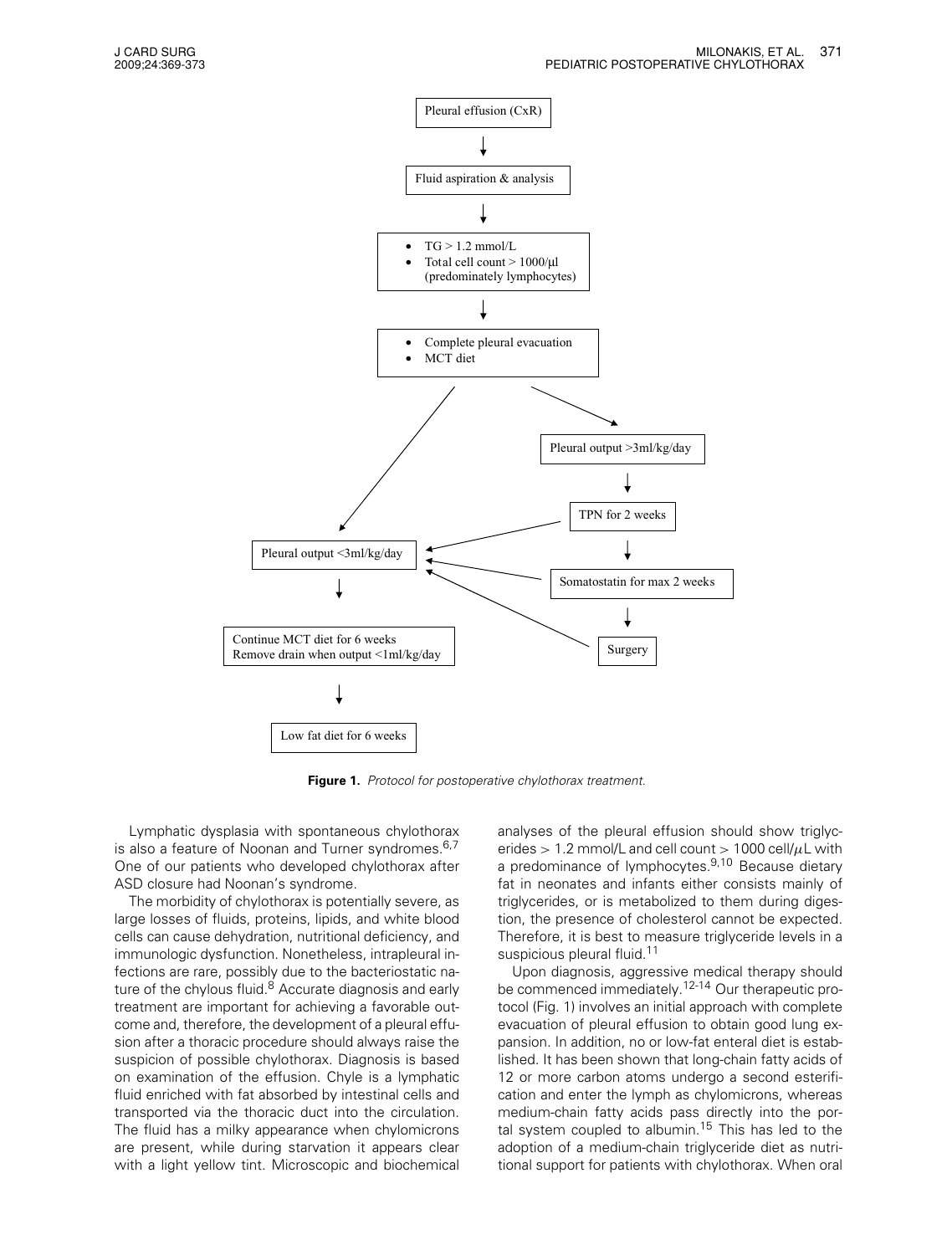

**Figure 1.** *Protocol for postoperative chylothorax treatment.*

*Lymphatic dysplasia with spontaneous chylothorax is also a feature of Noonan and Turner syndromes.6,7 One of our patients who developed chylothorax after ASD closure had Noonan's syndrome.*

*The morbidity of chylothorax is potentially severe, as large losses of fluids, proteins, lipids, and white blood cells can cause dehydration, nutritional deficiency, and immunologic dysfunction. Nonetheless, intrapleural infections are rare, possibly due to the bacteriostatic nature of the chylous fluid.8 Accurate diagnosis and early treatment are important for achieving a favorable outcome and, therefore, the development of a pleural effusion after a thoracic procedure should always raise the suspicion of possible chylothorax. Diagnosis is based on examination of the effusion. Chyle is a lymphatic fluid enriched with fat absorbed by intestinal cells and transported via the thoracic duct into the circulation. The fluid has a milky appearance when chylomicrons are present, while during starvation it appears clear with a light yellow tint. Microscopic and biochemical*

*analyses of the pleural effusion should show triglycerides* > *1.2 mmol/L and cell count* > *1000 cell/*μ*L with a predominance of lymphocytes.9,10 Because dietary fat in neonates and infants either consists mainly of triglycerides, or is metabolized to them during digestion, the presence of cholesterol cannot be expected. Therefore, it is best to measure triglyceride levels in a suspicious pleural fluid.11*

*Upon diagnosis, aggressive medical therapy should be commenced immediately.12-14 Our therapeutic protocol (Fig. 1) involves an initial approach with complete evacuation of pleural effusion to obtain good lung expansion. In addition, no or low-fat enteral diet is established. It has been shown that long-chain fatty acids of 12 or more carbon atoms undergo a second esterification and enter the lymph as chylomicrons, whereas medium-chain fatty acids pass directly into the portal system coupled to albumin.<sup>15</sup> This has led to the adoption of a medium-chain triglyceride diet as nutritional support for patients with chylothorax. When oral*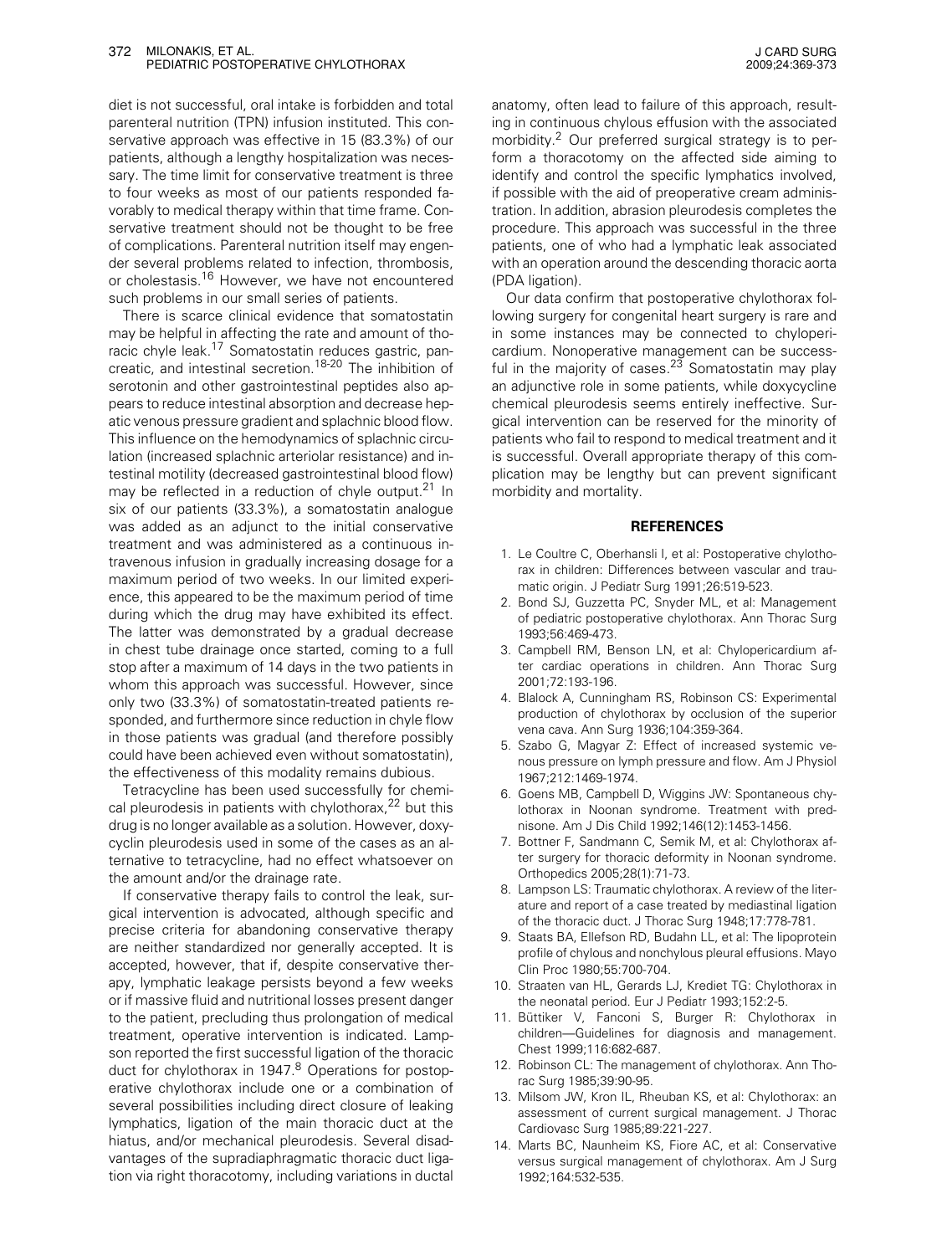*diet is not successful, oral intake is forbidden and total parenteral nutrition (TPN) infusion instituted. This conservative approach was effective in 15 (83.3%) of our patients, although a lengthy hospitalization was necessary. The time limit for conservative treatment is three to four weeks as most of our patients responded favorably to medical therapy within that time frame. Conservative treatment should not be thought to be free of complications. Parenteral nutrition itself may engender several problems related to infection, thrombosis, or cholestasis.16 However, we have not encountered such problems in our small series of patients.*

*There is scarce clinical evidence that somatostatin may be helpful in affecting the rate and amount of thoracic chyle leak.<sup>17</sup> Somatostatin reduces gastric, pancreatic, and intestinal secretion.18-20 The inhibition of serotonin and other gastrointestinal peptides also appears to reduce intestinal absorption and decrease hepatic venous pressure gradient and splachnic blood flow. This influence on the hemodynamics of splachnic circulation (increased splachnic arteriolar resistance) and intestinal motility (decreased gastrointestinal blood flow) may be reflected in a reduction of chyle output.21 In six of our patients (33.3%), a somatostatin analogue was added as an adjunct to the initial conservative treatment and was administered as a continuous intravenous infusion in gradually increasing dosage for a maximum period of two weeks. In our limited experience, this appeared to be the maximum period of time during which the drug may have exhibited its effect. The latter was demonstrated by a gradual decrease in chest tube drainage once started, coming to a full stop after a maximum of 14 days in the two patients in whom this approach was successful. However, since only two (33.3%) of somatostatin-treated patients responded, and furthermore since reduction in chyle flow in those patients was gradual (and therefore possibly could have been achieved even without somatostatin), the effectiveness of this modality remains dubious.*

*Tetracycline has been used successfully for chemical pleurodesis in patients with chylothorax,<sup>22</sup> but this drug is no longer available as a solution. However, doxycyclin pleurodesis used in some of the cases as an alternative to tetracycline, had no effect whatsoever on the amount and/or the drainage rate.*

*If conservative therapy fails to control the leak, surgical intervention is advocated, although specific and precise criteria for abandoning conservative therapy are neither standardized nor generally accepted. It is accepted, however, that if, despite conservative therapy, lymphatic leakage persists beyond a few weeks or if massive fluid and nutritional losses present danger to the patient, precluding thus prolongation of medical treatment, operative intervention is indicated. Lampson reported the first successful ligation of the thoracic duct for chylothorax in 1947.<sup>8</sup> Operations for postoperative chylothorax include one or a combination of several possibilities including direct closure of leaking lymphatics, ligation of the main thoracic duct at the hiatus, and/or mechanical pleurodesis. Several disadvantages of the supradiaphragmatic thoracic duct ligation via right thoracotomy, including variations in ductal*

*anatomy, often lead to failure of this approach, resulting in continuous chylous effusion with the associated morbidity.<sup>2</sup> Our preferred surgical strategy is to perform a thoracotomy on the affected side aiming to identify and control the specific lymphatics involved, if possible with the aid of preoperative cream administration. In addition, abrasion pleurodesis completes the procedure. This approach was successful in the three patients, one of who had a lymphatic leak associated with an operation around the descending thoracic aorta (PDA ligation).*

*Our data confirm that postoperative chylothorax following surgery for congenital heart surgery is rare and in some instances may be connected to chylopericardium. Nonoperative management can be successful in the majority of cases.<sup>23</sup> Somatostatin may play an adjunctive role in some patients, while doxycycline chemical pleurodesis seems entirely ineffective. Surgical intervention can be reserved for the minority of patients who fail to respond to medical treatment and it is successful. Overall appropriate therapy of this complication may be lengthy but can prevent significant morbidity and mortality.*

#### **REFERENCES**

- *1. Le Coultre C, Oberhansli I, et al: Postoperative chylothorax in children: Differences between vascular and traumatic origin. J Pediatr Surg 1991;26:519-523.*
- *2. Bond SJ, Guzzetta PC, Snyder ML, et al: Management of pediatric postoperative chylothorax. Ann Thorac Surg 1993;56:469-473.*
- *3. Campbell RM, Benson LN, et al: Chylopericardium after cardiac operations in children. Ann Thorac Surg 2001;72:193-196.*
- *4. Blalock A, Cunningham RS, Robinson CS: Experimental production of chylothorax by occlusion of the superior vena cava. Ann Surg 1936;104:359-364.*
- *5. Szabo G, Magyar Z: Effect of increased systemic venous pressure on lymph pressure and flow. Am J Physiol 1967;212:1469-1974.*
- *6. Goens MB, Campbell D, Wiggins JW: Spontaneous chylothorax in Noonan syndrome. Treatment with prednisone. Am J Dis Child 1992;146(12):1453-1456.*
- *7. Bottner F, Sandmann C, Semik M, et al: Chylothorax after surgery for thoracic deformity in Noonan syndrome. Orthopedics 2005;28(1):71-73.*
- *8. Lampson LS: Traumatic chylothorax. A review of the literature and report of a case treated by mediastinal ligation of the thoracic duct. J Thorac Surg 1948;17:778-781.*
- *9. Staats BA, Ellefson RD, Budahn LL, et al: The lipoprotein profile of chylous and nonchylous pleural effusions. Mayo Clin Proc 1980;55:700-704.*
- *10. Straaten van HL, Gerards LJ, Krediet TG: Chylothorax in the neonatal period. Eur J Pediatr 1993;152:2-5.*
- 11. Büttiker V, Fanconi S, Burger R: Chylothorax in *children—Guidelines for diagnosis and management. Chest 1999;116:682-687.*
- *12. Robinson CL: The management of chylothorax. Ann Thorac Surg 1985;39:90-95.*
- *13. Milsom JW, Kron IL, Rheuban KS, et al: Chylothorax: an assessment of current surgical management. J Thorac Cardiovasc Surg 1985;89:221-227.*
- *14. Marts BC, Naunheim KS, Fiore AC, et al: Conservative versus surgical management of chylothorax. Am J Surg 1992;164:532-535.*